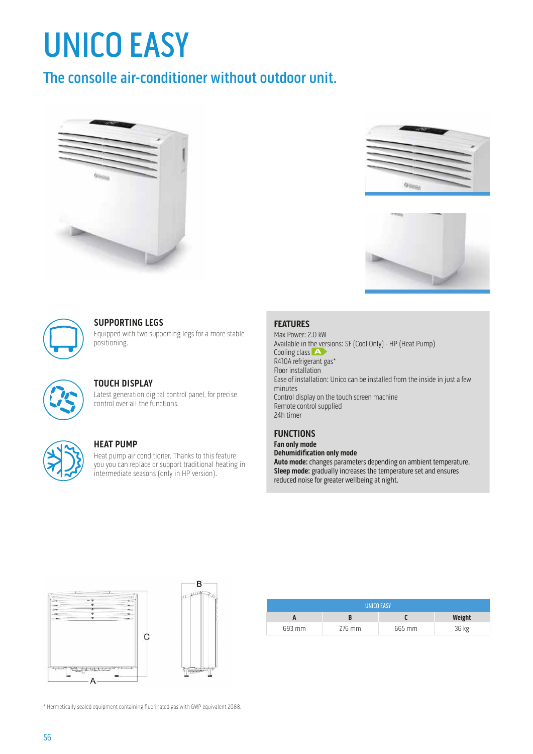# UNICO EASY

## The consolle air-conditioner without outdoor unit.









### **SUPPORTING LEGS**

Equipped with two supporting legs for a more stable positioning.



#### **TOUCH DISPLAY**

Latest generation digital control panel, for precise control over all the functions.



#### **HEAT PUMP**

Heat pump air conditioner. Thanks to this feature you you can replace or support traditional heating in intermediate seasons (only in HP version).

#### **FEATURES**

Max Power: 2.0 kW Available in the versions: SF (Cool Only) - HP (Heat Pump) Cooling class A R410A refrigerant gas\* Floor installation Ease of installation: Unico can be installed from the inside in just a few minutes Control display on the touch screen machine Remote control supplied 24h timer

#### **FUNCTIONS**

**Fan only mode Dehumidification only mode Auto mode:** changes parameters depending on ambient temperature. **Sleep mode:** gradually increases the temperature set and ensures reduced noise for greater wellbeing at night.



| <b>UNICO EASY</b> |        |        |        |  |  |  |
|-------------------|--------|--------|--------|--|--|--|
|                   |        |        | Weight |  |  |  |
| 693 mm            | 276 mm | 665 mm | 36 kg  |  |  |  |

\* Hermetically sealed equipment containing fluorinated gas with GWP equivalent 2088.